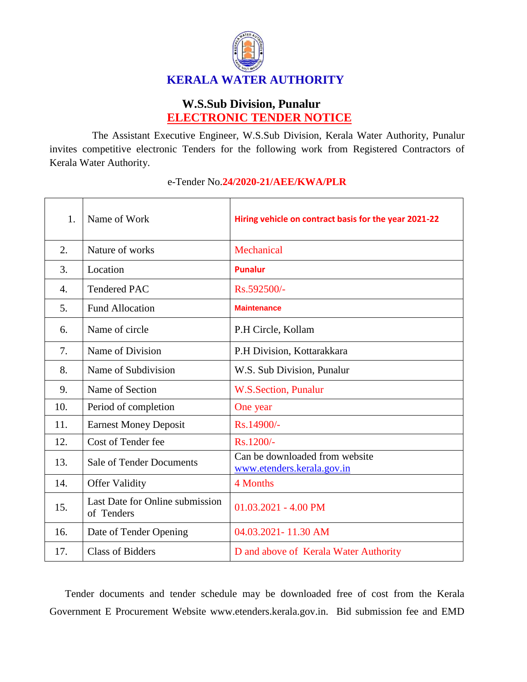

## **W.S.Sub Division, Punalur ELECTRONIC TENDER NOTICE**

The Assistant Executive Engineer, W.S.Sub Division, Kerala Water Authority, Punalur invites competitive electronic Tenders for the following work from Registered Contractors of Kerala Water Authority.

| 1.               | Name of Work                                  | Hiring vehicle on contract basis for the year 2021-22        |
|------------------|-----------------------------------------------|--------------------------------------------------------------|
| 2.               | Nature of works                               | Mechanical                                                   |
| 3.               | Location                                      | <b>Punalur</b>                                               |
| $\overline{4}$ . | <b>Tendered PAC</b>                           | Rs.592500/-                                                  |
| 5.               | <b>Fund Allocation</b>                        | <b>Maintenance</b>                                           |
| 6.               | Name of circle                                | P.H Circle, Kollam                                           |
| 7.               | Name of Division                              | P.H Division, Kottarakkara                                   |
| 8.               | Name of Subdivision                           | W.S. Sub Division, Punalur                                   |
| 9.               | Name of Section                               | W.S.Section, Punalur                                         |
| 10.              | Period of completion                          | One year                                                     |
| 11.              | <b>Earnest Money Deposit</b>                  | Rs.14900/-                                                   |
| 12.              | Cost of Tender fee                            | Rs.1200/-                                                    |
| 13.              | <b>Sale of Tender Documents</b>               | Can be downloaded from website<br>www.etenders.kerala.gov.in |
| 14.              | <b>Offer Validity</b>                         | 4 Months                                                     |
| 15.              | Last Date for Online submission<br>of Tenders | $01.03.2021 - 4.00$ PM                                       |
| 16.              | Date of Tender Opening                        | 04.03.2021-11.30 AM                                          |
| 17.              | <b>Class of Bidders</b>                       | D and above of Kerala Water Authority                        |

## e-Tender No.**24/2020-21/AEE/KWA/PLR**

Tender documents and tender schedule may be downloaded free of cost from the Kerala Government E Procurement Website www.etenders.kerala.gov.in. Bid submission fee and EMD